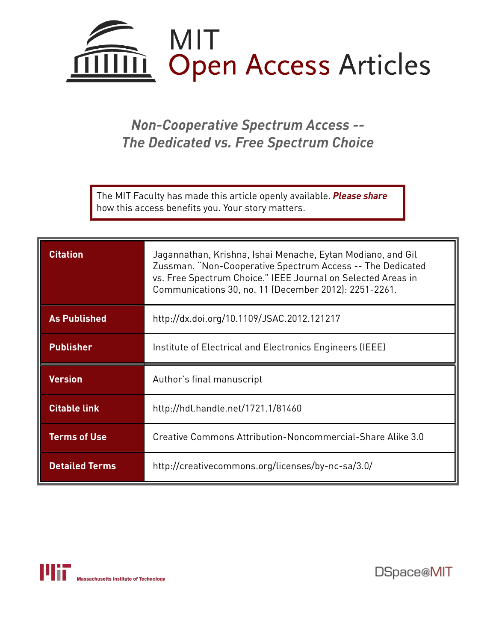

# *Non-Cooperative Spectrum Access -- The Dedicated vs. Free Spectrum Choice*

The MIT Faculty has made this article openly available. *[Please](https://libraries.mit.edu/forms/dspace-oa-articles.html) share* how this access benefits you. Your story matters.

| <b>Citation</b>     | Jagannathan, Krishna, Ishai Menache, Eytan Modiano, and Gil<br>Zussman. "Non-Cooperative Spectrum Access -- The Dedicated<br>vs. Free Spectrum Choice." IEEE Journal on Selected Areas in<br>Communications 30, no. 11 (December 2012): 2251-2261. |
|---------------------|----------------------------------------------------------------------------------------------------------------------------------------------------------------------------------------------------------------------------------------------------|
| <b>As Published</b> | http://dx.doi.org/10.1109/JSAC.2012.121217                                                                                                                                                                                                         |
| <b>Publisher</b>    | Institute of Electrical and Electronics Engineers (IEEE)                                                                                                                                                                                           |
|                     |                                                                                                                                                                                                                                                    |
| <b>Version</b>      | Author's final manuscript                                                                                                                                                                                                                          |
| <b>Citable link</b> | http://hdl.handle.net/1721.1/81460                                                                                                                                                                                                                 |
| <b>Terms of Use</b> | Creative Commons Attribution-Noncommercial-Share Alike 3.0                                                                                                                                                                                         |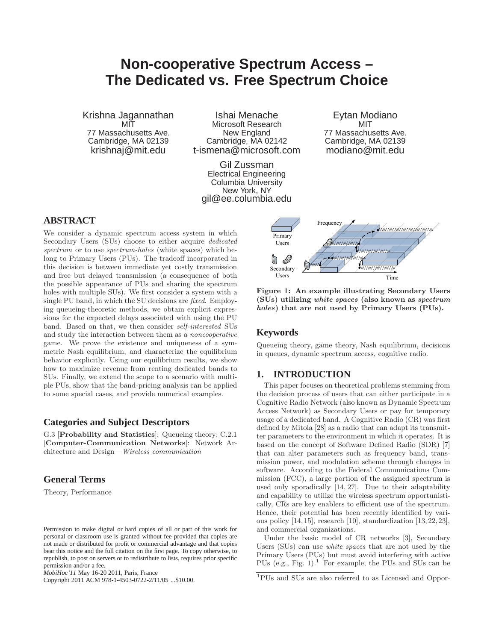## **Non-cooperative Spectrum Access – The Dedicated vs. Free Spectrum Choice**

Krishna Jagannathan MIT 77 Massachusetts Ave. Cambridge, MA 02139 krishnaj@mit.edu

Ishai Menache Microsoft Research New England Cambridge, MA 02142 t-ismena@microsoft.com

Gil Zussman Electrical Engineering Columbia University New York, NY gil@ee.columbia.edu

Eytan Modiano MIT 77 Massachusetts Ave. Cambridge, MA 02139 modiano@mit.edu



We consider a dynamic spectrum access system in which Secondary Users (SUs) choose to either acquire *dedicated spectrum* or to use *spectrum-holes* (white spaces) which belong to Primary Users (PUs). The tradeoff incorporated in this decision is between immediate yet costly transmission and free but delayed transmission (a consequence of both the possible appearance of PUs and sharing the spectrum holes with multiple SUs). We first consider a system with a single PU band, in which the SU decisions are *fixed*. Employing queueing-theoretic methods, we obtain explicit expressions for the expected delays associated with using the PU band. Based on that, we then consider *self-interested* SUs and study the interaction between them as a *noncooperative* game. We prove the existence and uniqueness of a symmetric Nash equilibrium, and characterize the equilibrium behavior explicitly. Using our equilibrium results, we show how to maximize revenue from renting dedicated bands to SUs. Finally, we extend the scope to a scenario with multiple PUs, show that the band-pricing analysis can be applied to some special cases, and provide numerical examples.

## **Categories and Subject Descriptors**

G.3 [Probability and Statistics]: Queueing theory; C.2.1 [Computer-Communication Networks]: Network Architecture and Design—*Wireless communication*

## **General Terms**

Theory, Performance

Copyright 2011 ACM 978-1-4503-0722-2/11/05 ...\$10.00.



Figure 1: An example illustrating Secondary Users (SUs) utilizing white spaces (also known as spectrum holes) that are not used by Primary Users (PUs).

## **Keywords**

Queueing theory, game theory, Nash equilibrium, decisions in queues, dynamic spectrum access, cognitive radio.

## **1. INTRODUCTION**

This paper focuses on theoretical problems stemming from the decision process of users that can either participate in a Cognitive Radio Network (also known as Dynamic Spectrum Access Network) as Secondary Users or pay for temporary usage of a dedicated band. A Cognitive Radio (CR) was first defined by Mitola [28] as a radio that can adapt its transmitter parameters to the environment in which it operates. It is based on the concept of Software Defined Radio (SDR) [7] that can alter parameters such as frequency band, transmission power, and modulation scheme through changes in software. According to the Federal Communications Commission (FCC), a large portion of the assigned spectrum is used only sporadically [14, 27]. Due to their adaptability and capability to utilize the wireless spectrum opportunistically, CRs are key enablers to efficient use of the spectrum. Hence, their potential has been recently identified by various policy [14, 15], research [10], standardization [13, 22, 23], and commercial organizations.

Under the basic model of CR networks [3], Secondary Users (SUs) can use *white spaces* that are not used by the Primary Users (PUs) but must avoid interfering with active PUs (e.g., Fig. 1).<sup>1</sup> For example, the PUs and SUs can be

Permission to make digital or hard copies of all or part of this work for personal or classroom use is granted without fee provided that copies are not made or distributed for profit or commercial advantage and that copies bear this notice and the full citation on the first page. To copy otherwise, to republish, to post on servers or to redistribute to lists, requires prior specific permission and/or a fee.

*MobiHoc'11* May 16-20 2011, Paris, France

<sup>1</sup>PUs and SUs are also referred to as Licensed and Oppor-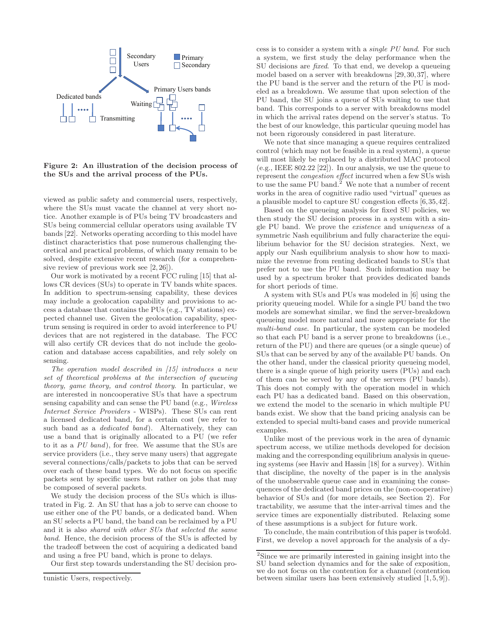

Figure 2: An illustration of the decision process of the SUs and the arrival process of the PUs.

viewed as public safety and commercial users, respectively, where the SUs must vacate the channel at very short notice. Another example is of PUs being TV broadcasters and SUs being commercial cellular operators using available TV bands [22]. Networks operating according to this model have distinct characteristics that pose numerous challenging theoretical and practical problems, of which many remain to be solved, despite extensive recent research (for a comprehensive review of previous work see  $[2, 26]$ ).

Our work is motivated by a recent FCC ruling [15] that allows CR devices (SUs) to operate in TV bands white spaces. In addition to spectrum-sensing capability, these devices may include a geolocation capability and provisions to access a database that contains the PUs (e.g., TV stations) expected channel use. Given the geolocation capability, spectrum sensing is required in order to avoid interference to PU devices that are not registered in the database. The FCC will also certify CR devices that do not include the geolocation and database access capabilities, and rely solely on sensing.

*The operation model described in [15] introduces a new set of theoretical problems at the intersection of queueing theory, game theory, and control theory*. In particular, we are interested in noncooperative SUs that have a spectrum sensing capability and can sense the PU band (e.g., *Wireless Internet Service Providers* - WISPs). These SUs can rent a licensed dedicated band, for a certain cost (we refer to such band as a *dedicated band*). Alternatively, they can use a band that is originally allocated to a PU (we refer to it as a *PU band*), for free. We assume that the SUs are service providers (i.e., they serve many users) that aggregate several connections/calls/packets to jobs that can be served over each of these band types. We do not focus on specific packets sent by specific users but rather on jobs that may be composed of several packets.

We study the decision process of the SUs which is illustrated in Fig. 2. An SU that has a job to serve can choose to use either one of the PU bands, or a dedicated band. When an SU selects a PU band, the band can be reclaimed by a PU and it is also *shared with other SUs that selected the same band*. Hence, the decision process of the SUs is affected by the tradeoff between the cost of acquiring a dedicated band and using a free PU band, which is prone to delays.

Our first step towards understanding the SU decision pro-

cess is to consider a system with a *single PU band*. For such a system, we first study the delay performance when the SU decisions are *fixed*. To that end, we develop a queueing model based on a server with breakdowns [29, 30, 37], where the PU band is the server and the return of the PU is modeled as a breakdown. We assume that upon selection of the PU band, the SU joins a queue of SUs waiting to use that band. This corresponds to a server with breakdowns model in which the arrival rates depend on the server's status. To the best of our knowledge, this particular queuing model has not been rigorously considered in past literature.

We note that since managing a queue requires centralized control (which may not be feasible in a real system), a queue will most likely be replaced by a distributed MAC protocol (e.g., IEEE 802.22 [22]). In our analysis, we use the queue to represent the *congestion effect* incurred when a few SUs wish to use the same PU band.<sup>2</sup> We note that a number of recent works in the area of cognitive radio used "virtual" queues as a plausible model to capture SU congestion effects [6,35,42].

Based on the queueing analysis for fixed SU policies, we then study the SU decision process in a system with a single PU band. We prove the *existence* and *uniqueness* of a symmetric Nash equilibrium and fully characterize the equilibrium behavior for the SU decision strategies. Next, we apply our Nash equilibrium analysis to show how to maximize the revenue from renting dedicated bands to SUs that prefer not to use the PU band. Such information may be used by a spectrum broker that provides dedicated bands for short periods of time.

A system with SUs and PUs was modeled in [6] using the priority queueing model. While for a single PU band the two models are somewhat similar, we find the server-breakdown queueing model more natural and more appropriate for the *multi-band case*. In particular, the system can be modeled so that each PU band is a server prone to breakdowns (i.e., return of the PU) and there are queues (or a single queue) of SUs that can be served by any of the available PU bands. On the other hand, under the classical priority queueing model, there is a single queue of high priority users (PUs) and each of them can be served by any of the servers (PU bands). This does not comply with the operation model in which each PU has a dedicated band. Based on this observation, we extend the model to the scenario in which multiple PU bands exist. We show that the band pricing analysis can be extended to special multi-band cases and provide numerical examples.

Unlike most of the previous work in the area of dynamic spectrum access, we utilize methods developed for decision making and the corresponding equilibrium analysis in queueing systems (see Haviv and Hassin [18] for a survey). Within that discipline, the novelty of the paper is in the analysis of the unobservable queue case and in examining the consequences of the dedicated band prices on the (non-cooperative) behavior of SUs and (for more details, see Section 2). For tractability, we assume that the inter-arrival times and the service times are exponentially distributed. Relaxing some of these assumptions is a subject for future work.

To conclude, the main contribution of this paper is twofold. First, we develop a novel approach for the analysis of a dy-

<sup>2</sup>Since we are primarily interested in gaining insight into the SU band selection dynamics and for the sake of exposition, we do not focus on the contention for a channel (contention between similar users has been extensively studied [1, 5, 9]).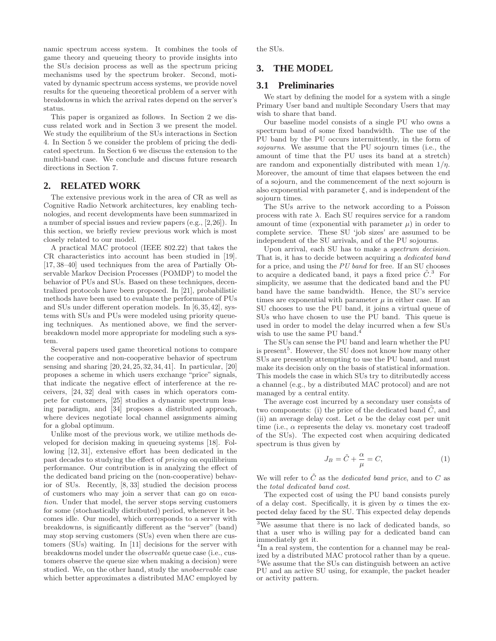namic spectrum access system. It combines the tools of game theory and queueing theory to provide insights into the SUs decision process as well as the spectrum pricing mechanisms used by the spectrum broker. Second, motivated by dynamic spectrum access systems, we provide novel results for the queueing theoretical problem of a server with breakdowns in which the arrival rates depend on the server's status.

This paper is organized as follows. In Section 2 we discuss related work and in Section 3 we present the model. We study the equilibrium of the SUs interactions in Section 4. In Section 5 we consider the problem of pricing the dedicated spectrum. In Section 6 we discuss the extension to the multi-band case. We conclude and discuss future research directions in Section 7.

## **2. RELATED WORK**

The extensive previous work in the area of CR as well as Cognitive Radio Network architectures, key enabling technologies, and recent developments have been summarized in a number of special issues and review papers (e.g., [2,26]). In this section, we briefly review previous work which is most closely related to our model.

A practical MAC protocol (IEEE 802.22) that takes the CR characteristics into account has been studied in [19]. [17, 38–40] used techniques from the area of Partially Observable Markov Decision Processes (POMDP) to model the behavior of PUs and SUs. Based on these techniques, decentralized protocols have been proposed. In [21], probabilistic methods have been used to evaluate the performance of PUs and SUs under different operation models. In [6,35,42], systems with SUs and PUs were modeled using priority queueing techniques. As mentioned above, we find the serverbreakdown model more appropriate for modeling such a system.

Several papers used game theoretical notions to compare the cooperative and non-cooperative behavior of spectrum sensing and sharing  $[20, 24, 25, 32, 34, 41]$ . In particular,  $[20]$ proposes a scheme in which users exchange "price" signals, that indicate the negative effect of interference at the receivers, [24, 32] deal with cases in which operators compete for customers, [25] studies a dynamic spectrum leasing paradigm, and [34] proposes a distributed approach, where devices negotiate local channel assignments aiming for a global optimum.

Unlike most of the previous work, we utilize methods developed for decision making in queueing systems [18]. Following [12, 31], extensive effort has been dedicated in the past decades to studying the effect of *pricing* on equilibrium performance. Our contribution is in analyzing the effect of the dedicated band pricing on the (non-cooperative) behavior of SUs. Recently, [8, 33] studied the decision process of customers who may join a server that can go on *vacation*. Under that model, the server stops serving customers for some (stochastically distributed) period, whenever it becomes idle. Our model, which corresponds to a server with breakdowns, is significantly different as the "server" (band) may stop serving customers (SUs) even when there are customers (SUs) waiting. In [11] decisions for the server with breakdowns model under the *observable* queue case (i.e., customers observe the queue size when making a decision) were studied. We, on the other hand, study the *unobservable* case which better approximates a distributed MAC employed by

the SUs.

## **3. THE MODEL**

## **3.1 Preliminaries**

We start by defining the model for a system with a single Primary User band and multiple Secondary Users that may wish to share that band.

Our baseline model consists of a single PU who owns a spectrum band of some fixed bandwidth. The use of the PU band by the PU occurs intermittently, in the form of *sojourns*. We assume that the PU sojourn times (i.e., the amount of time that the PU uses its band at a stretch) are random and exponentially distributed with mean  $1/\eta$ . Moreover, the amount of time that elapses between the end of a sojourn, and the commencement of the next sojourn is also exponential with parameter  $\xi$ , and is independent of the sojourn times.

The SUs arrive to the network according to a Poisson process with rate  $\lambda$ . Each SU requires service for a random amount of time (exponential with parameter  $\mu$ ) in order to complete service. These SU 'job sizes' are assumed to be independent of the SU arrivals, and of the PU sojourns.

Upon arrival, each SU has to make a *spectrum decision.* That is, it has to decide between acquiring a *dedicated band* for a price, and using the *PU band* for free. If an SU chooses to acquire a dedicated band, it pays a fixed price  $\tilde{C}^3$ . For simplicity, we assume that the dedicated band and the PU band have the same bandwidth. Hence, the SU's service times are exponential with parameter  $\mu$  in either case. If an SU chooses to use the PU band, it joins a virtual queue of SUs who have chosen to use the PU band. This queue is used in order to model the delay incurred when a few SUs wish to use the same PU band.<sup>4</sup>

The SUs can sense the PU band and learn whether the PU is present<sup>5</sup>. However, the SU does not know how many other SUs are presently attempting to use the PU band, and must make its decision only on the basis of statistical information. This models the case in which SUs try to ditributedly access a channel (e.g., by a distributed MAC protocol) and are not managed by a central entity.

The average cost incurred by a secondary user consists of two components: (i) the price of the dedicated band  $\tilde{C}$ , and (ii) an average delay cost. Let  $\alpha$  be the delay cost per unit time (i.e.,  $\alpha$  represents the delay vs. monetary cost tradeoff of the SUs). The expected cost when acquiring dedicated spectrum is thus given by

$$
J_B = \tilde{C} + \frac{\alpha}{\mu} = C,\tag{1}
$$

We will refer to  $\tilde{C}$  as the *dedicated band price*, and to  $C$  as the *total dedicated band cost*.

The expected cost of using the PU band consists purely of a delay cost. Specifically, it is given by  $\alpha$  times the expected delay faced by the SU. This expected delay depends

<sup>3</sup>We assume that there is no lack of dedicated bands, so that a user who is willing pay for a dedicated band can immediately get it.

<sup>4</sup> In a real system, the contention for a channel may be realized by a distributed MAC protocol rather than by a queue. <sup>5</sup>We assume that the SUs can distinguish between an active PU and an active SU using, for example, the packet header or activity pattern.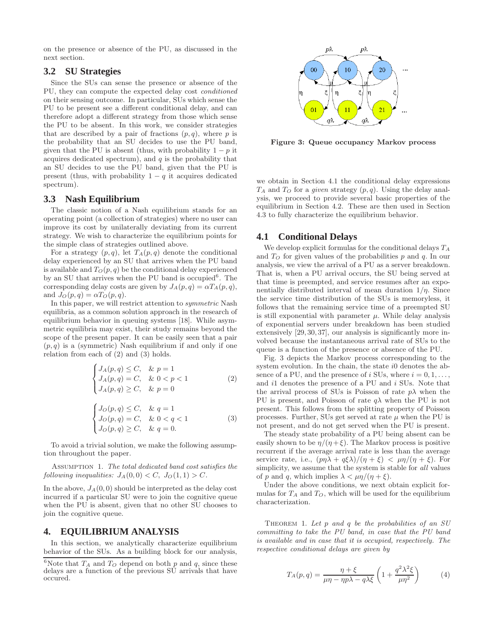on the presence or absence of the PU, as discussed in the next section.

## **3.2 SU Strategies**

Since the SUs can sense the presence or absence of the PU, they can compute the expected delay cost *conditioned* on their sensing outcome. In particular, SUs which sense the PU to be present see a different conditional delay, and can therefore adopt a different strategy from those which sense the PU to be absent. In this work, we consider strategies that are described by a pair of fractions  $(p, q)$ , where p is the probability that an SU decides to use the PU band, given that the PU is absent (thus, with probability  $1 - p$  it acquires dedicated spectrum), and  $q$  is the probability that an SU decides to use the PU band, given that the PU is present (thus, with probability  $1 - q$  it acquires dedicated spectrum).

## **3.3 Nash Equilibrium**

The classic notion of a Nash equilibrium stands for an operating point (a collection of strategies) where no user can improve its cost by unilaterally deviating from its current strategy. We wish to characterize the equilibrium points for the simple class of strategies outlined above.

For a strategy  $(p, q)$ , let  $T_A(p, q)$  denote the conditional delay experienced by an SU that arrives when the PU band is available and  $T<sub>O</sub>(p, q)$  be the conditional delay experienced by an SU that arrives when the PU band is occupied<sup>6</sup>. The corresponding delay costs are given by  $J_A(p,q) = \alpha T_A(p,q)$ , and  $J_O(p,q) = \alpha T_O(p,q)$ .

In this paper, we will restrict attention to *symmetric* Nash equilibria, as a common solution approach in the research of equilibrium behavior in queuing systems [18]. While asymmetric equilibria may exist, their study remains beyond the scope of the present paper. It can be easily seen that a pair  $(p, q)$  is a (symmetric) Nash equilibrium if and only if one relation from each of (2) and (3) holds.

$$
\begin{cases}\nJ_A(p,q) \le C, & \& p = 1 \\
J_A(p,q) = C, & \& 0 < p < 1 \\
J_A(p,q) \ge C, & \& p = 0\n\end{cases}
$$
\n(2)

$$
\begin{cases}\nJ_O(p,q) \le C, & \& q = 1 \\
J_O(p,q) = C, & \& 0 < q < 1 \\
J_O(p,q) \ge C, & \& q = 0.\n\end{cases}
$$
\n(3)

To avoid a trivial solution, we make the following assumption throughout the paper.

Assumption 1. *The total dedicated band cost satisfies the following inequalities:*  $J_A(0,0) < C$ ,  $J_O(1,1) > C$ .

In the above,  $J_A(0,0)$  should be interpreted as the delay cost incurred if a particular SU were to join the cognitive queue when the PU is absent, given that no other SU chooses to join the cognitive queue.

#### **4. EQUILIBRIUM ANALYSIS**

In this section, we analytically characterize equilibrium behavior of the SUs. As a building block for our analysis,



Figure 3: Queue occupancy Markov process

we obtain in Section 4.1 the conditional delay expressions  $T_A$  and  $T_O$  for a *given* strategy  $(p, q)$ . Using the delay analysis, we proceed to provide several basic properties of the equilibrium in Section 4.2. These are then used in Section 4.3 to fully characterize the equilibrium behavior.

#### **4.1 Conditional Delays**

We develop explicit formulas for the conditional delays  $T_A$ and  $T<sub>O</sub>$  for given values of the probabilities p and q. In our analysis, we view the arrival of a PU as a server breakdown. That is, when a PU arrival occurs, the SU being served at that time is preempted, and service resumes after an exponentially distributed interval of mean duration  $1/\eta$ . Since the service time distribution of the SUs is memoryless, it follows that the remaining service time of a preempted SU is still exponential with parameter  $\mu$ . While delay analysis of exponential servers under breakdown has been studied extensively [29, 30, 37], our analysis is significantly more involved because the instantaneous arrival rate of SUs to the queue is a function of the presence or absence of the PU.

Fig. 3 depicts the Markov process corresponding to the system evolution. In the chain, the state  $i0$  denotes the absence of a PU, and the presence of i SUs, where  $i = 0, 1, \ldots$ , and i1 denotes the presence of a PU and i SUs. Note that the arrival process of SUs is Poisson of rate  $p\lambda$  when the PU is present, and Poisson of rate  $q\lambda$  when the PU is not present. This follows from the splitting property of Poisson processes. Further, SUs get served at rate  $\mu$  when the PU is not present, and do not get served when the PU is present.

The steady state probability of a PU being absent can be easily shown to be  $\eta/(\eta+\xi)$ . The Markov process is positive recurrent if the average arrival rate is less than the average service rate, i.e.,  $(p\eta\lambda + q\xi\lambda)/(\eta + \xi) < \mu\eta/(\eta + \xi)$ . For simplicity, we assume that the system is stable for *all* values of p and q, which implies  $\lambda < \mu \eta/(\eta + \xi)$ .

Under the above conditions, we next obtain explicit formulas for  $T_A$  and  $T_O$ , which will be used for the equilibrium characterization.

Theorem 1. *Let* p *and* q *be the probabilities of an SU committing to take the PU band, in case that the PU band is available and in case that it is occupied, respectively. The respective conditional delays are given by*

$$
T_A(p,q) = \frac{\eta + \xi}{\mu \eta - \eta p \lambda - q \lambda \xi} \left( 1 + \frac{q^2 \lambda^2 \xi}{\mu \eta^2} \right) \tag{4}
$$

<sup>&</sup>lt;sup>6</sup>Note that  $T_A$  and  $T_O$  depend on both p and q, since these delays are a function of the previous SU arrivals that have occured.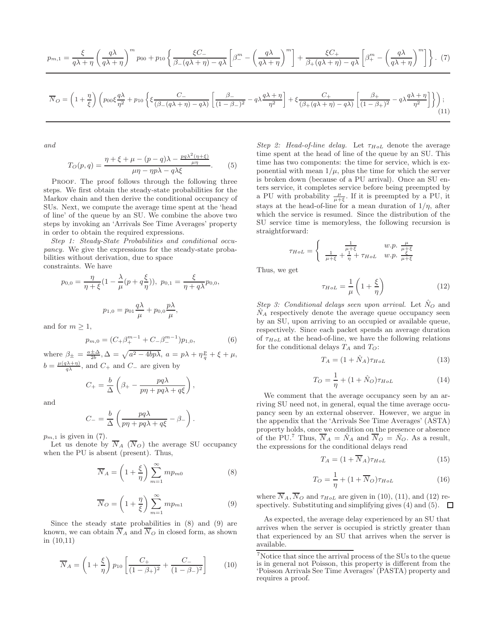$$
p_{m,1} = \frac{\xi}{q\lambda + \eta} \left(\frac{q\lambda}{q\lambda + \eta}\right)^m p_{00} + p_{10} \left\{ \frac{\xi C_-}{\beta_-(q\lambda + \eta) - q\lambda} \left[ \beta_-^m - \left(\frac{q\lambda}{q\lambda + \eta}\right)^m \right] + \frac{\xi C_+}{\beta_+(q\lambda + \eta) - q\lambda} \left[ \beta_+^m - \left(\frac{q\lambda}{q\lambda + \eta}\right)^m \right] \right\}.
$$
 (7)  

$$
\overline{N}_O = \left(1 + \frac{\eta}{\xi}\right) \left( p_{00} \xi \frac{q\lambda}{\eta^2} + p_{10} \left\{ \xi \frac{C_-}{(\beta_-(q\lambda + \eta) - q\lambda)} \left[ \frac{\beta_-}{(1 - \beta_-)^2} - q\lambda \frac{q\lambda + \eta}{\eta^2} \right] + \xi \frac{C_+}{(\beta_+(q\lambda + \eta) - q\lambda)} \left[ \frac{\beta_+}{(1 - \beta_+)^2} - q\lambda \frac{q\lambda + \eta}{\eta^2} \right] \right\} \right);
$$

*and*

$$
T_O(p,q) = \frac{\eta + \xi + \mu - (p-q)\lambda - \frac{pq\lambda^2(\eta + \xi)}{\mu\eta}}{\mu\eta - \eta p\lambda - q\lambda\xi}.
$$
 (5)

PROOF. The proof follows through the following three steps. We first obtain the steady-state probabilities for the Markov chain and then derive the conditional occupancy of SUs. Next, we compute the average time spent at the 'head of line' of the queue by an SU. We combine the above two steps by invoking an 'Arrivals See Time Averages' property in order to obtain the required expressions.

*Step 1: Steady-State Probabilities and conditional occupancy.* We give the expressions for the steady-state probabilities without derivation, due to space constraints. We have

$$
p_{0,0} = \frac{\eta}{\eta + \xi} (1 - \frac{\lambda}{\mu} (p + q\frac{\xi}{\eta})), \ p_{0,1} = \frac{\xi}{\eta + q\lambda} p_{0,0},
$$

$$
p_{1,0} = p_{01} \frac{q\lambda}{\mu} + p_{0,0} \frac{p\lambda}{\mu},
$$

and for  $m \geq 1$ ,

$$
p_{m,0} = (C_{+}\beta_{+}^{m-1} + C_{-}\beta_{-}^{m-1})p_{1,0}, \qquad (6)
$$

where  $\beta_{\pm} = \frac{a \pm \Delta}{2b}, \Delta = \sqrt{a^2 - 4bp\lambda}, a = p\lambda + \eta \frac{p}{q} + \xi + \mu,$  $b = \frac{\mu(q\lambda + \eta)}{q\lambda}$ , and  $C_+$  and  $C_-$  are given by

$$
C_+ = \frac{b}{\Delta} \left( \beta_+ - \frac{pq\lambda}{p\eta + pq\lambda + q\xi} \right),\,
$$

and

$$
C_{-} = \frac{b}{\Delta} \left( \frac{pq\lambda}{p\eta + pq\lambda + q\xi} - \beta_{-} \right).
$$

 $p_{m,1}$  is given in (7).

Let us denote by  $\overline{N}_A$  ( $\overline{N}_O$ ) the average SU occupancy when the PU is absent (present). Thus,

$$
\overline{N}_A = \left(1 + \frac{\xi}{\eta}\right) \sum_{m=1}^{\infty} m p_{m0} \tag{8}
$$

$$
\overline{N}_O = \left(1 + \frac{\eta}{\xi}\right) \sum_{m=1}^{\infty} m p_{m1} \tag{9}
$$

Since the steady state probabilities in (8) and (9) are known, we can obtain  $\overline{N}_A$  and  $\overline{N}_O$  in closed form, as shown in (10,11)

$$
\overline{N}_A = \left(1 + \frac{\xi}{\eta}\right) p_{10} \left[ \frac{C_+}{(1 - \beta_+)^2} + \frac{C_-}{(1 - \beta_-)^2} \right] \tag{10}
$$

*Step 2: Head-of-line delay.* Let  $\tau_{HoL}$  denote the average time spent at the head of line of the queue by an SU. This time has two components: the time for service, which is exponential with mean  $1/\mu$ , plus the time for which the server is broken down (because of a PU arrival). Once an SU enters service, it completes service before being preempted by a PU with probability  $\frac{\mu}{\mu+\xi}$ . If it is preempted by a PU, it stays at the head-of-line for a mean duration of  $1/\eta$ , after which the service is resumed. Since the distribution of the SU service time is memoryless, the following recursion is straightforward:

$$
\tau_{Hol} = \begin{cases} \frac{1}{\mu + \xi} & w.p. \\ \frac{1}{\mu + \xi} + \frac{1}{\eta} + \tau_{Hol} & w.p. \frac{\mu}{\mu + \xi} \end{cases}
$$

Thus, we get

$$
\tau_{Hol} = \frac{1}{\mu} \left( 1 + \frac{\xi}{\eta} \right) \tag{12}
$$

 $(11)$ 

*Step 3: Conditional delays seen upon arrival.* Let  $N<sub>O</sub>$  and  $N_A$  respectively denote the average queue occupancy seen by an SU, upon arriving to an occupied or available queue, respectively. Since each packet spends an average duration of  $\tau_{HoL}$  at the head-of-line, we have the following relations for the conditional delays  $T_A$  and  $T_O$ :

$$
T_A = (1 + \hat{N}_A)\tau_{HoL} \tag{13}
$$

$$
T_O = \frac{1}{\eta} + (1 + \hat{N}_O)\tau_{HoL}
$$
 (14)

We comment that the average occupancy seen by an arriving SU need not, in general, equal the time average occupancy seen by an external observer. However, we argue in the appendix that the 'Arrivals See Time Averages' (ASTA) property holds, once we condition on the presence or absence of the PU.<sup>7</sup> Thus,  $\overline{N}_A = \hat{N}_A$  and  $\overline{N}_O = \hat{N}_O$ . As a result, the expressions for the conditional delays read

$$
T_A = (1 + \overline{N}_A)\tau_{HoL} \tag{15}
$$

$$
T_O = \frac{1}{\eta} + (1 + \overline{N}_O)\tau_{Hol} \tag{16}
$$

where  $\overline{N}_A$ ,  $\overline{N}_O$  and  $\tau_{HoL}$  are given in (10), (11), and (12) respectively. Substituting and simplifying gives (4) and (5).  $\Box$ 

As expected, the average delay experienced by an SU that arrives when the server is occupied is strictly greater than that experienced by an SU that arrives when the server is available.

<sup>7</sup>Notice that since the arrival process of the SUs to the queue is in general not Poisson, this property is different from the 'Poisson Arrivals See Time Averages' (PASTA) property and requires a proof.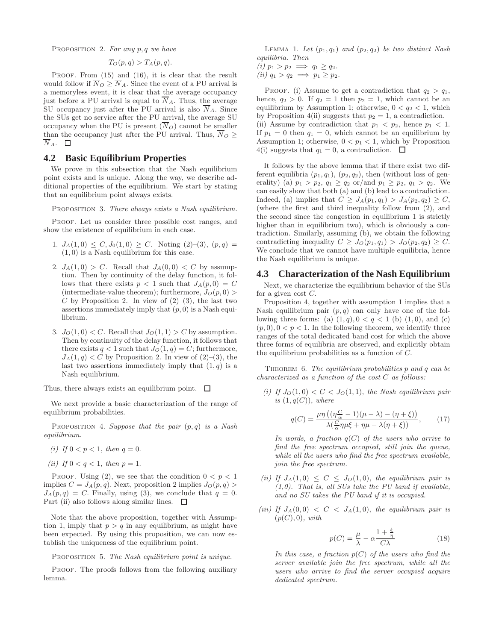Proposition 2. *For any* p, q *we have*

$$
T_O(p,q) > T_A(p,q).
$$

PROOF. From  $(15)$  and  $(16)$ , it is clear that the result would follow if  $\overline{N}_O \ge \overline{N}_A$ . Since the event of a PU arrival is a memoryless event, it is clear that the average occupancy just before a PU arrival is equal to  $\overline{N}_A$ . Thus, the average SU occupancy just after the PU arrival is also  $\overline{N}_A$ . Since the SUs get no service after the PU arrival, the average SU occupancy when the PU is present  $(\overline{N}_O)$  cannot be smaller than the occupancy just after the PU arrival. Thus,  $\overline{N}_O \geq$  $\overline{N}_A$ .  $\Box$ 

## **4.2 Basic Equilibrium Properties**

We prove in this subsection that the Nash equilibrium point exists and is unique. Along the way, we describe additional properties of the equilibrium. We start by stating that an equilibrium point always exists.

Proposition 3. *There always exists a Nash equilibrium.*

PROOF. Let us consider three possible cost ranges, and show the existence of equilibrium in each case.

- 1.  $J_A(1,0) \leq C, J_0(1,0) \geq C$ . Noting  $(2)-(3), (p,q) =$  $(1, 0)$  is a Nash equilibrium for this case.
- 2.  $J_A(1,0) > C$ . Recall that  $J_A(0,0) < C$  by assumption. Then by continuity of the delay function, it follows that there exists  $p < 1$  such that  $J_A(p, 0) = C$ (intermediate-value theorem); furthermore,  $J_O(p, 0)$ C by Proposition 2. In view of  $(2)-(3)$ , the last two assertions immediately imply that  $(p, 0)$  is a Nash equilibrium.
- 3.  $J_O(1,0) < C$ . Recall that  $J_O(1,1) > C$  by assumption. Then by continuity of the delay function, it follows that there exists  $q < 1$  such that  $J_O(1, q) = C$ ; furthermore,  $J_A(1,q) < C$  by Proposition 2. In view of  $(2)$ – $(3)$ , the last two assertions immediately imply that  $(1, q)$  is a Nash equilibrium.

Thus, there always exists an equilibrium point.  $\Box$ 

We next provide a basic characterization of the range of equilibrium probabilities.

Proposition 4. *Suppose that the pair* (p, q) *is a Nash equilibrium.*

- *(i)* If  $0 < p < 1$ , then  $q = 0$ .
- *(ii) If*  $0 < q < 1$ *, then*  $p = 1$ *.*

PROOF. Using (2), we see that the condition  $0 < p < 1$ implies  $C = J_A(p,q)$ . Next, proposition 2 implies  $J_O(p,q)$  $J_A(p,q) = C$ . Finally, using (3), we conclude that  $q = 0$ . Part (ii) also follows along similar lines.  $\Box$ 

Note that the above proposition, together with Assumption 1, imply that  $p > q$  in any equilibrium, as might have been expected. By using this proposition, we can now establish the uniqueness of the equilibrium point.

Proposition 5. *The Nash equilibrium point is unique.*

PROOF. The proofs follows from the following auxiliary lemma.

LEMMA 1. Let  $(p_1, q_1)$  and  $(p_2, q_2)$  be two distinct Nash *equilibria. Then*

 $(i)$   $p_1 > p_2 \implies q_1 \geq q_2.$ 

*(ii)*  $q_1 > q_2 \implies p_1 \geq p_2$ .

PROOF. (i) Assume to get a contradiction that  $q_2 > q_1$ , hence,  $q_2 > 0$ . If  $q_2 = 1$  then  $p_2 = 1$ , which cannot be an equilibrium by Assumption 1; otherwise,  $0 < q_2 < 1$ , which by Proposition 4(ii) suggests that  $p_2 = 1$ , a contradiction. (ii) Assume by contradiction that  $p_1 < p_2$ , hence  $p_1 < 1$ . If  $p_1 = 0$  then  $q_1 = 0$ , which cannot be an equilibrium by Assumption 1; otherwise,  $0 < p_1 < 1$ , which by Proposition 4(i) suggests that  $q_1 = 0$ , a contradiction.  $\Box$ 

It follows by the above lemma that if there exist two different equilibria  $(p_1, q_1)$ ,  $(p_2, q_2)$ , then (without loss of generality) (a)  $p_1 > p_2$ ,  $q_1 \ge q_2$  or/and  $p_1 \ge p_2$ ,  $q_1 > q_2$ . We can easily show that both (a) and (b) lead to a contradiction. Indeed, (a) implies that  $C \geq J_A(p_1, q_1) > J_A(p_2, q_2) \geq C$ , (where the first and third inequality follow from (2), and the second since the congestion in equilibrium 1 is strictly higher than in equilibrium two), which is obviously a contradiction. Similarly, assuming (b), we obtain the following contradicting inequality  $C \geq J_O(p_1, q_1) > J_O(p_2, q_2) \geq C$ . We conclude that we cannot have multiple equilibria, hence the Nash equilibrium is unique.

#### **4.3 Characterization of the Nash Equilibrium**

Next, we characterize the equilibrium behavior of the SUs for a given cost  $C$ .

Proposition 4, together with assumption 1 implies that a Nash equilibrium pair  $(p, q)$  can only have one of the following three forms: (a)  $(1, q)$ ,  $0 < q < 1$  (b)  $(1, 0)$ , and (c)  $(p, 0), 0 < p < 1$ . In the following theorem, we identify three ranges of the total dedicated band cost for which the above three forms of equilibria are observed, and explicitly obtain the equilibrium probabilities as a function of C.

Theorem 6. *The equilibrium probabilities* p *and* q *can be characterized as a function of the cost* C *as follows:*

(i) If  $J_O(1,0) < C < J_O(1,1)$ , the Nash equilibrium pair  $is (1, q(C)), where$ 

$$
q(C) = \frac{\mu\eta\left((\eta \frac{C}{\alpha} - 1)(\mu - \lambda) - (\eta + \xi)\right)}{\lambda(\frac{C}{\alpha}\eta\mu\xi + \eta\mu - \lambda(\eta + \xi))},\qquad(17)
$$

*In words, a fraction* q(C) *of the users who arrive to find the free spectrum occupied, still join the queue, while all the users who find the free spectrum available, join the free spectrum.*

- *(ii)* If  $J_A(1,0) \leq C \leq J_O(1,0)$ , the equilibrium pair is *(1,0). That is, all SUs take the PU band if available, and no SU takes the PU band if it is occupied.*
- *(iii)* If  $J_A(0,0) < C < J_A(1,0)$ , the equilibrium pair is  $(p(C), 0)$ *, with*

$$
p(C) = \frac{\mu}{\lambda} - \alpha \frac{1 + \frac{\xi}{\eta}}{C\lambda} \tag{18}
$$

*In this case, a fraction* p(C) *of the users who find the server available join the free spectrum, while all the users who arrive to find the server occupied acquire dedicated spectrum.*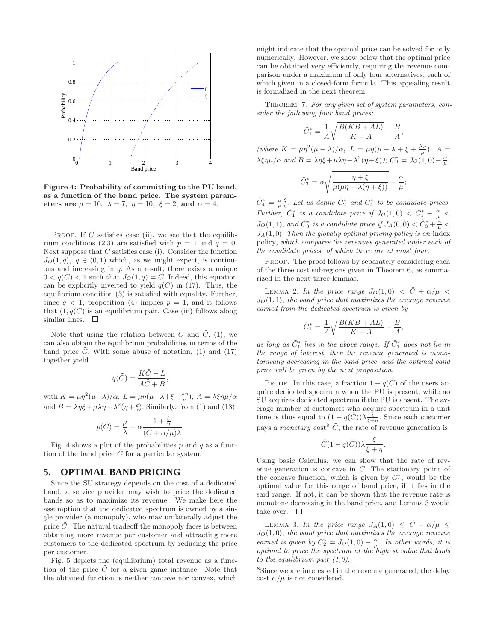

Figure 4: Probability of committing to the PU band, as a function of the band price. The system parameters are  $\mu = 10$ ,  $\lambda = 7$ ,  $\eta = 10$ ,  $\xi = 2$ , and  $\alpha = 4$ .

PROOF. If  $C$  satisfies case (ii), we see that the equilibrium conditions (2,3) are satisfied with  $p = 1$  and  $q = 0$ . Next suppose that  $C$  satisfies case (i). Consider the function  $J_O(1,q)$ ,  $q \in (0,1)$  which, as we might expect, is continuous and increasing in q. As a result, there exists a unique  $0 < q(C) < 1$  such that  $J<sub>O</sub>(1,q) = C$ . Indeed, this equation can be explicitly inverted to yield  $q(C)$  in (17). Thus, the equilibrium condition (3) is satisfied with equality. Further, since  $q < 1$ , proposition (4) implies  $p = 1$ , and it follows that  $(1, q(C))$  is an equilibrium pair. Case (iii) follows along similar lines.  $\square$ 

Note that using the relation between C and  $\tilde{C}$ , (1), we can also obtain the equilibrium probabilities in terms of the band price  $\ddot{C}$ . With some abuse of notation, (1) and (17) together yield

$$
q(\tilde{C}) = \frac{K\tilde{C} - L}{A\tilde{C} + B},
$$

with  $K = \mu \eta^2 (\mu - \lambda)/\alpha$ ,  $L = \mu \eta (\mu - \lambda + \xi + \frac{\lambda \eta}{\mu})$ ,  $A = \lambda \xi \eta \mu/\alpha$ and  $B = \lambda \eta \xi + \mu \lambda \eta - \lambda^2 (\eta + \xi)$ . Similarly, from (1) and (18),

$$
p(\tilde{C}) = \frac{\mu}{\lambda} - \alpha \frac{1 + \frac{\xi}{\eta}}{(\tilde{C} + \alpha/\mu)\lambda}
$$

.

Fig. 4 shows a plot of the probabilities  $p$  and  $q$  as a function of the band price  $C$  for a particular system.

## **5. OPTIMAL BAND PRICING**

Since the SU strategy depends on the cost of a dedicated band, a service provider may wish to price the dedicated bands so as to maximize its revenue. We make here the assumption that the dedicated spectrum is owned by a single provider (a monopoly), who may unilaterally adjust the price  $\tilde{C}$ . The natural tradeoff the monopoly faces is between obtaining more revenue per customer and attracting more customers to the dedicated spectrum by reducing the price per customer.

Fig. 5 depicts the (equilibrium) total revenue as a function of the price  $\tilde{C}$  for a given game instance. Note that the obtained function is neither concave nor convex, which might indicate that the optimal price can be solved for only numerically. However, we show below that the optimal price can be obtained very efficiently, requiring the revenue comparison under a maximum of only four alternatives, each of which given in a closed-form formula. This appealing result is formalized in the next theorem.

THEOREM 7. For any given set of system parameters, con*sider the following four band prices:*

$$
\tilde{C}_1^* = \frac{1}{A} \sqrt{\frac{B(KB + AL)}{K - A}} - \frac{B}{A},
$$

(where  $K = \mu \eta^2 (\mu - \lambda)/\alpha$ ,  $L = \mu \eta (\mu - \lambda + \xi + \frac{\lambda \eta}{\mu})$ ,  $A =$  $\lambda \xi \eta \mu / \alpha$  and  $B = \lambda \eta \xi + \mu \lambda \eta - \lambda^2 (\eta + \xi)$ ;  $\tilde{C}_2^* = J_O(1, 0) - \frac{\alpha}{\mu}$ ;

$$
\tilde{C}_3^* = \alpha \sqrt{\frac{\eta + \xi}{\mu(\mu\eta - \lambda(\eta + \xi))}} - \frac{\alpha}{\mu};
$$

 $\tilde{C}_4^* = \frac{\alpha \xi}{\mu} \frac{\xi}{\eta}$ . Let us define  $\tilde{C}_2^*$  and  $\tilde{C}_4^*$  to be candidate prices. *Further,*  $\tilde{C}_1^*$  *is a candidate price if*  $J_O(1,0) < \tilde{C}_1^* + \frac{\alpha}{\mu}$  $J_O(1,1)$ , and  $\tilde{C}_3^*$  is a candidate price if  $J_A(0,0) < \tilde{C}_3^* + \frac{\alpha}{\mu} <$ JA(1, 0). *Then the globally optimal pricing policy is an* index policy*, which compares the revenues generated under each of the candidate prices, of which there are at most four.*

PROOF. The proof follows by separately considering each of the three cost subregions given in Theorem 6, as summarized in the next three lemmas.

LEMMA 2. *In the price range*  $J_O(1,0) < \tilde{C} + \alpha/\mu$  $J<sub>O</sub>(1, 1)$ , the band price that maximizes the average revenue *earned from the dedicated spectrum is given by*

$$
\tilde{C}_1^* = \frac{1}{A} \sqrt{\frac{B(KB + AL)}{K - A}} - \frac{B}{A},
$$

as long as  $\tilde{C}_1^*$  lies in the above range. If  $\tilde{C}_1^*$  does not lie in *the range of interest, then the revenue generated is monotonically decreasing in the band price, and the optimal band price will be given by the next proposition.*

PROOF. In this case, a fraction  $1 - q(\tilde{C})$  of the users acquire dedicated spectrum when the PU is present, while no SU acquires dedicated spectrum if the PU is absent. The average number of customers who acquire spectrum in a unit time is thus equal to  $(1 - q(\tilde{C}))\lambda_{\frac{\xi}{\xi + \eta}}$ . Since each customer pays a *monetary*  $\cos^8 \tilde{C}$ , the rate of revenue generation is

$$
\tilde{C}(1-q(\tilde{C}))\lambda \frac{\xi}{\xi+\eta}.
$$

Using basic Calculus, we can show that the rate of revenue generation is concave in  $\tilde{C}$ . The stationary point of the concave function, which is given by  $\tilde{C}_1^*$ , would be the optimal value for this range of band price, if it lies in the said range. If not, it can be shown that the revenue rate is monotone decreasing in the band price, and Lemma 3 would take over.  $\Box$ 

LEMMA 3. In the price range  $J_A(1,0) \leq \tilde{C} + \alpha/\mu \leq$  $J<sub>O</sub>(1,0)$ , the band price that maximizes the average revenue *earned is given by*  $\tilde{C}_2^* = J_O(1,0) - \frac{\alpha}{\mu}$ *. In other words, it is optimal to price the spectrum at the highest value that leads to the equilibrium pair (1,0).*

<sup>8</sup> Since we are interested in the revenue generated, the delay cost  $\alpha/\mu$  is not considered.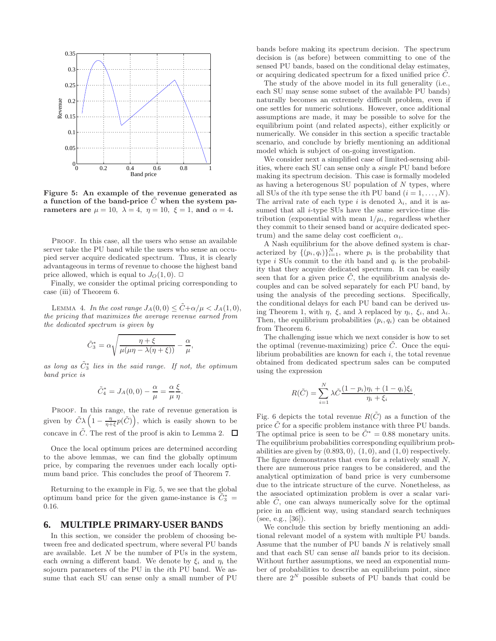

Figure 5: An example of the revenue generated as a function of the band-price  $C$  when the system parameters are  $\mu = 10$ ,  $\lambda = 4$ ,  $\eta = 10$ ,  $\xi = 1$ , and  $\alpha = 4$ .

PROOF. In this case, all the users who sense an available server take the PU band while the users who sense an occupied server acquire dedicated spectrum. Thus, it is clearly advantageous in terms of revenue to choose the highest band price allowed, which is equal to  $J<sub>O</sub>(1, 0)$ .  $\Box$ 

Finally, we consider the optimal pricing corresponding to case (iii) of Theorem 6.

LEMMA 4. *In the cost range*  $J_A(0,0) \leq \tilde{C} + \alpha/\mu < J_A(1,0)$ , *the pricing that maximizes the average revenue earned from the dedicated spectrum is given by*

$$
\tilde{C}_3^* = \alpha \sqrt{\frac{\eta+\xi}{\mu(\mu\eta-\lambda(\eta+\xi))}} - \frac{\alpha}{\mu},
$$

*as long as* C˜<sup>∗</sup> <sup>3</sup> *lies in the said range. If not, the optimum band price is*

$$
\tilde{C}_4^* = J_A(0,0) - \frac{\alpha}{\mu} = \frac{\alpha}{\mu} \frac{\xi}{\eta}.
$$

PROOF. In this range, the rate of revenue generation is given by  $\tilde{C}\lambda\left(1-\frac{\eta}{\eta+\xi}p(\tilde{C})\right)$ , which is easily shown to be concave in  $\tilde{C}$ . The rest of the proof is akin to Lemma 2.  $\Box$ 

Once the local optimum prices are determined according to the above lemmas, we can find the globally optimum price, by comparing the revenues under each locally optimum band price. This concludes the proof of Theorem 7.

Returning to the example in Fig. 5, we see that the global optimum band price for the given game-instance is  $\tilde{C}_3^*$  = 0.16.

#### **6. MULTIPLE PRIMARY-USER BANDS**

In this section, we consider the problem of choosing between free and dedicated spectrum, where several PU bands are available. Let  $N$  be the number of PUs in the system, each owning a different band. We denote by  $\xi_i$  and  $\eta_i$  the sojourn parameters of the PU in the ith PU band. We assume that each SU can sense only a small number of PU

bands before making its spectrum decision. The spectrum decision is (as before) between committing to one of the sensed PU bands, based on the conditional delay estimates, or acquiring dedicated spectrum for a fixed unified price  $\tilde{C}$ .

The study of the above model in its full generality (i.e., each SU may sense some subset of the available PU bands) naturally becomes an extremely difficult problem, even if one settles for numeric solutions. However, once additional assumptions are made, it may be possible to solve for the equilibrium point (and related aspects), either explicitly or numerically. We consider in this section a specific tractable scenario, and conclude by briefly mentioning an additional model which is subject of on-going investigation.

We consider next a simplified case of limited-sensing abilities, where each SU can sense only a *single* PU band before making its spectrum decision. This case is formally modeled as having a heterogenous SU population of  $N$  types, where all SUs of the *i*th type sense the *i*th PU band  $(i = 1, \ldots, N)$ . The arrival rate of each type i is denoted  $\lambda_i$ , and it is assumed that all *i*-type SUs have the same service-time distribution (exponential with mean  $1/\mu_i$ , regardless whether they commit to their sensed band or acquire dedicated spectrum) and the same delay cost coefficient  $\alpha_i$ .

A Nash equilibrium for the above defined system is characterized by  $\{(p_i, q_i)\}_{i=1}^N$ , where  $p_i$  is the probability that type i SUs commit to the ith band and  $q_i$  is the probability that they acquire dedicated spectrum. It can be easily seen that for a given price  $\tilde{C}$ , the equilibrium analysis decouples and can be solved separately for each PU band, by using the analysis of the preceding sections. Specifically, the conditional delays for each PU band can be derived using Theorem 1, with  $\eta$ ,  $\xi$ , and  $\lambda$  replaced by  $\eta_i$ ,  $\xi_i$ , and  $\lambda_i$ . Then, the equilibrium probabilities  $(p_i, q_i)$  can be obtained from Theorem 6.

The challenging issue which we next consider is how to set the optimal (revenue-maximizing) price  $\tilde{C}$ . Once the equilibrium probabilities are known for each  $i$ , the total revenue obtained from dedicated spectrum sales can be computed using the expression

$$
R(\tilde{C}) = \sum_{i=1}^{N} \lambda \tilde{C} \frac{(1 - p_i)\eta_i + (1 - q_i)\xi_i}{\eta_i + \xi_i}.
$$

Fig. 6 depicts the total revenue  $R(C)$  as a function of the price  $\tilde{C}$  for a specific problem instance with three PU bands. The optimal price is seen to be  $\tilde{C}^* = 0.88$  monetary units. The equilibrium probabilities corresponding equilibrium probabilities are given by  $(0.893, 0)$ ,  $(1, 0)$ , and  $(1, 0)$  respectively. The figure demonstrates that even for a relatively small N, there are numerous price ranges to be considered, and the analytical optimization of band price is very cumbersome due to the intricate structure of the curve. Nonetheless, as the associated optimization problem is over a scalar variable  $\tilde{C}$ , one can always numerically solve for the optimal price in an efficient way, using standard search techniques (see, e.g., [36]).

We conclude this section by briefly mentioning an additional relevant model of a system with multiple PU bands. Assume that the number of PU bands  $N$  is relatively small and that each SU can sense *all* bands prior to its decision. Without further assumptions, we need an exponential number of probabilities to describe an equilibrium point, since there are  $2^N$  possible subsets of PU bands that could be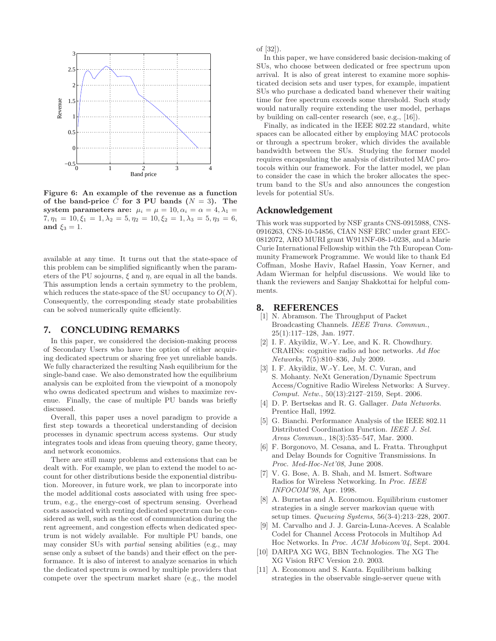

Figure 6: An example of the revenue as a function of the band-price C for 3 PU bands  $(N = 3)$ . The system parameters are:  $\mu_i = \mu = 10, \alpha_i = \alpha = 4, \lambda_1 =$  $7, \eta_1 = 10, \xi_1 = 1, \lambda_2 = 5, \eta_2 = 10, \xi_2 = 1, \lambda_3 = 5, \eta_3 = 6,$ and  $\xi_3=1.$ 

available at any time. It turns out that the state-space of this problem can be simplified significantly when the parameters of the PU sojourns,  $\xi$  and  $\eta$ , are equal in all the bands. This assumption lends a certain symmetry to the problem, which reduces the state-space of the SU occupancy to  $O(N)$ . Consequently, the corresponding steady state probabilities can be solved numerically quite efficiently.

## **7. CONCLUDING REMARKS**

In this paper, we considered the decision-making process of Secondary Users who have the option of either acquiring dedicated spectrum or sharing free yet unreliable bands. We fully characterized the resulting Nash equilibrium for the single-band case. We also demonstrated how the equilibrium analysis can be exploited from the viewpoint of a monopoly who owns dedicated spectrum and wishes to maximize revenue. Finally, the case of multiple PU bands was briefly discussed.

Overall, this paper uses a novel paradigm to provide a first step towards a theoretical understanding of decision processes in dynamic spectrum access systems. Our study integrates tools and ideas from queuing theory, game theory, and network economics.

There are still many problems and extensions that can be dealt with. For example, we plan to extend the model to account for other distributions beside the exponential distribution. Moreover, in future work, we plan to incorporate into the model additional costs associated with using free spectrum, e.g., the energy-cost of spectrum sensing. Overhead costs associated with renting dedicated spectrum can be considered as well, such as the cost of communication during the rent agreement, and congestion effects when dedicated spectrum is not widely available. For multiple PU bands, one may consider SUs with *partial* sensing abilities (e.g., may sense only a subset of the bands) and their effect on the performance. It is also of interest to analyze scenarios in which the dedicated spectrum is owned by multiple providers that compete over the spectrum market share (e.g., the model

of [32]).

In this paper, we have considered basic decision-making of SUs, who choose between dedicated or free spectrum upon arrival. It is also of great interest to examine more sophisticated decision sets and user types, for example, impatient SUs who purchase a dedicated band whenever their waiting time for free spectrum exceeds some threshold. Such study would naturally require extending the user model, perhaps by building on call-center research (see, e.g., [16]).

Finally, as indicated in the IEEE 802.22 standard, white spaces can be allocated either by employing MAC protocols or through a spectrum broker, which divides the available bandwidth between the SUs. Studying the former model requires encapsulating the analysis of distributed MAC protocols within our framework. For the latter model, we plan to consider the case in which the broker allocates the spectrum band to the SUs and also announces the congestion levels for potential SUs.

#### **Acknowledgement**

This work was supported by NSF grants CNS-0915988, CNS-0916263, CNS-10-54856, CIAN NSF ERC under grant EEC-0812072, ARO MURI grant W911NF-08-1-0238, and a Marie Curie International Fellowship within the 7th European Community Framework Programme. We would like to thank Ed Coffman, Moshe Haviv, Rafael Hassin, Yoav Kerner, and Adam Wierman for helpful discussions. We would like to thank the reviewers and Sanjay Shakkottai for helpful comments.

#### **8. REFERENCES**

- [1] N. Abramson. The Throughput of Packet Broadcasting Channels. *IEEE Trans. Commun.*, 25(1):117–128, Jan. 1977.
- [2] I. F. Akyildiz, W.-Y. Lee, and K. R. Chowdhury. CRAHNs: cognitive radio ad hoc networks. *Ad Hoc Networks*, 7(5):810–836, July 2009.
- [3] I. F. Akyildiz, W.-Y. Lee, M. C. Vuran, and S. Mohanty. NeXt Generation/Dynamic Spectrum Access/Cognitive Radio Wireless Networks: A Survey. *Comput. Netw.*, 50(13):2127–2159, Sept. 2006.
- [4] D. P. Bertsekas and R. G. Gallager. *Data Networks*. Prentice Hall, 1992.
- [5] G. Bianchi. Performance Analysis of the IEEE 802.11 Distributed Coordination Function. *IEEE J. Sel. Areas Commun.*, 18(3):535–547, Mar. 2000.
- [6] F. Borgonovo, M. Cesana, and L. Fratta. Throughput and Delay Bounds for Cognitive Transmissions. In *Proc. Med-Hoc-Net'08*, June 2008.
- [7] V. G. Bose, A. B. Shah, and M. Ismert. Software Radios for Wireless Networking. In *Proc. IEEE INFOCOM'98*, Apr. 1998.
- [8] A. Burnetas and A. Economou. Equilibrium customer strategies in a single server markovian queue with setup times. *Queueing Systems*, 56(3-4):213–228, 2007.
- [9] M. Carvalho and J. J. Garcia-Luna-Aceves. A Scalable Codel for Channel Access Protocols in Multihop Ad Hoc Networks. In *Proc. ACM Mobicom'04*, Sept. 2004.
- [10] DARPA XG WG, BBN Technologies. The XG The XG Vision RFC Version 2.0. 2003.
- [11] A. Economou and S. Kanta. Equilibrium balking strategies in the observable single-server queue with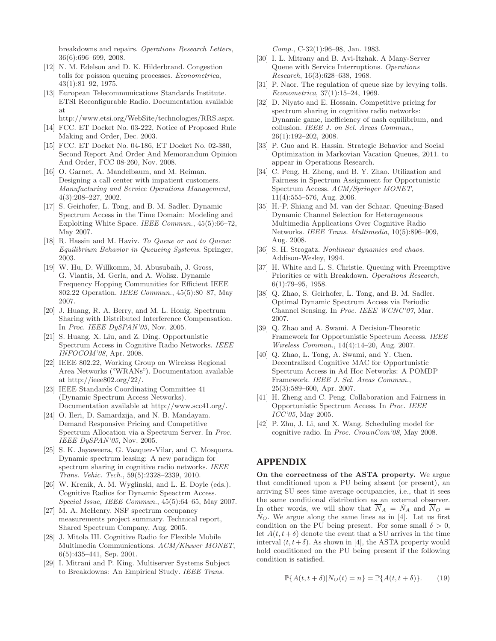breakdowns and repairs. *Operations Research Letters*, 36(6):696–699, 2008.

- [12] N. M. Edelson and D. K. Hilderbrand. Congestion tolls for poisson queuing processes. *Econometrica*, 43(1):81–92, 1975.
- [13] European Telecommunications Standards Institute. ETSI Reconfigurable Radio. Documentation available at
- http://www.etsi.org/WebSite/technologies/RRS.aspx. [14] FCC. ET Docket No. 03-222, Notice of Proposed Rule Making and Order, Dec. 2003.
- [15] FCC. ET Docket No. 04-186, ET Docket No. 02-380, Second Report And Order And Memorandum Opinion And Order, FCC 08-260, Nov. 2008.
- [16] O. Garnet, A. Mandelbaum, and M. Reiman. Designing a call center with impatient customers. *Manufacturing and Service Operations Management*, 4(3):208–227, 2002.
- [17] S. Geirhofer, L. Tong, and B. M. Sadler. Dynamic Spectrum Access in the Time Domain: Modeling and Exploiting White Space. *IEEE Commun.*, 45(5):66–72, May 2007.
- [18] R. Hassin and M. Haviv. *To Queue or not to Queue: Equilibrium Behavior in Queueing Systems*. Springer, 2003.
- [19] W. Hu, D. Willkomm, M. Abusubaih, J. Gross, G. Vlantis, M. Gerla, and A. Wolisz. Dynamic Frequency Hopping Communities for Efficient IEEE 802.22 Operation. *IEEE Commun.*, 45(5):80–87, May 2007.
- [20] J. Huang, R. A. Berry, and M. L. Honig. Spectrum Sharing with Distributed Interference Compensation. In *Proc. IEEE DySPAN'05*, Nov. 2005.
- [21] S. Huang, X. Liu, and Z. Ding. Opportunistic Spectrum Access in Cognitive Radio Networks. *IEEE INFOCOM'08*, Apr. 2008.
- [22] IEEE 802.22, Working Group on Wireless Regional Area Networks ("WRANs"). Documentation available at http://ieee802.org/22/.
- [23] IEEE Standards Coordinating Committee 41 (Dynamic Spectrum Access Networks). Documentation available at http://www.scc41.org/.
- [24] O. Ileri, D. Samardzija, and N. B. Mandayam. Demand Responsive Pricing and Competitive Spectrum Allocation via a Spectrum Server. In *Proc. IEEE DySPAN'05*, Nov. 2005.
- [25] S. K. Jayaweera, G. Vazquez-Vilar, and C. Mosquera. Dynamic spectrum leasing: A new paradigm for spectrum sharing in cognitive radio networks. *IEEE Trans. Vehic. Tech.*, 59(5):2328–2339, 2010.
- [26] W. Krenik, A. M. Wyglinski, and L. E. Doyle (eds.). Cognitive Radios for Dynamic Speactrm Access. *Special Issue, IEEE Commun.*, 45(5):64–65, May 2007.
- [27] M. A. McHenry. NSF spectrum occupancy measurements project summary. Technical report, Shared Spectrum Company, Aug. 2005.
- [28] J. Mitola III. Cognitive Radio for Flexible Mobile Multimedia Communications. *ACM/Kluwer MONET*, 6(5):435–441, Sep. 2001.
- [29] I. Mitrani and P. King. Multiserver Systems Subject to Breakdowns: An Empirical Study. *IEEE Trans.*

*Comp.*, C-32(1):96–98, Jan. 1983.

- [30] I. L. Mitrany and B. Avi-Itzhak. A Many-Server Queue with Service Interruptions. *Operations Research*, 16(3):628–638, 1968.
- [31] P. Naor. The regulation of queue size by levying tolls. *Econometrica*, 37(1):15–24, 1969.
- [32] D. Niyato and E. Hossain. Competitive pricing for spectrum sharing in cognitive radio networks: Dynamic game, inefficiency of nash equilibrium, and collusion. *IEEE J. on Sel. Areas Commun.*, 26(1):192–202, 2008.
- [33] P. Guo and R. Hassin. Strategic Behavior and Social Optimization in Markovian Vacation Queues, 2011. to appear in Operations Research.
- [34] C. Peng, H. Zheng, and B. Y. Zhao. Utilization and Fairness in Spectrum Assignment for Opportunistic Spectrum Access. *ACM/Springer MONET*, 11(4):555–576, Aug. 2006.
- [35] H.-P. Shiang and M. van der Schaar. Queuing-Based Dynamic Channel Selection for Heterogeneous Multimedia Applications Over Cognitive Radio Networks. *IEEE Trans. Multimedia*, 10(5):896–909, Aug. 2008.
- [36] S. H. Strogatz. *Nonlinear dynamics and chaos*. Addison-Wesley, 1994.
- [37] H. White and L. S. Christie. Queuing with Preemptive Priorities or with Breakdown. *Operations Research*, 6(1):79–95, 1958.
- [38] Q. Zhao, S. Geirhofer, L. Tong, and B. M. Sadler. Optimal Dynamic Spectrum Access via Periodic Channel Sensing. In *Proc. IEEE WCNC'07*, Mar. 2007.
- [39] Q. Zhao and A. Swami. A Decision-Theoretic Framework for Opportunistic Spectrum Access. *IEEE Wireless Commun.*, 14(4):14–20, Aug. 2007.
- [40] Q. Zhao, L. Tong, A. Swami, and Y. Chen. Decentralized Cognitive MAC for Opportunistic Spectrum Access in Ad Hoc Networks: A POMDP Framework. *IEEE J. Sel. Areas Commun.*, 25(3):589–600, Apr. 2007.
- [41] H. Zheng and C. Peng. Collaboration and Fairness in Opportunistic Spectrum Access. In *Proc. IEEE ICC'05*, May 2005.
- [42] P. Zhu, J. Li, and X. Wang. Scheduling model for cognitive radio. In *Proc. CrownCom'08*, May 2008.

## **APPENDIX**

On the correctness of the ASTA property. We argue that conditioned upon a PU being absent (or present), an arriving SU sees time average occupancies, i.e., that it sees the same conditional distribution as an external observer. In other words, we will show that  $\overline{N}_A = \hat{N}_A$  and  $\overline{N}_O =$  $N_O$ . We argue along the same lines as in [4]. Let us first condition on the PU being present. For some small  $\delta > 0$ , let  $A(t, t + \delta)$  denote the event that a SU arrives in the time interval  $(t, t+\delta)$ . As shown in [4], the ASTA property would hold conditioned on the PU being present if the following condition is satisfied.

$$
\mathbb{P}\{A(t,t+\delta)|N_O(t)=n\}=\mathbb{P}\{A(t,t+\delta)\}.
$$
 (19)